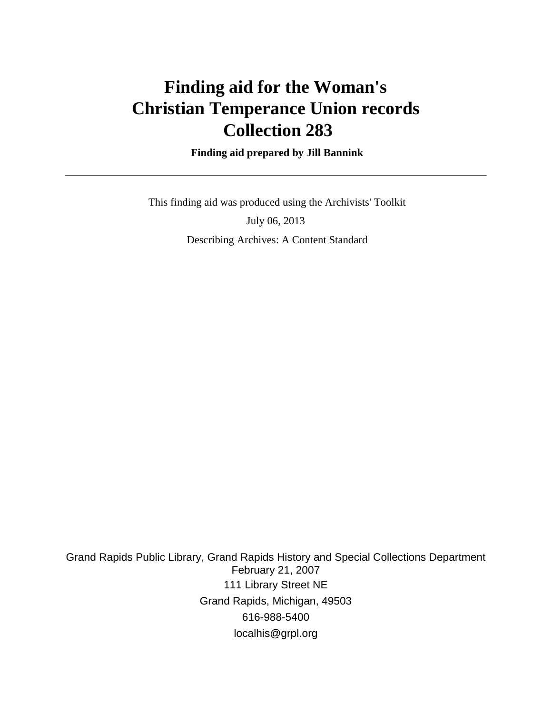# **Finding aid for the Woman's Christian Temperance Union records Collection 283**

 **Finding aid prepared by Jill Bannink**

 This finding aid was produced using the Archivists' Toolkit July 06, 2013 Describing Archives: A Content Standard

Grand Rapids Public Library, Grand Rapids History and Special Collections Department February 21, 2007 111 Library Street NE Grand Rapids, Michigan, 49503 616-988-5400 localhis@grpl.org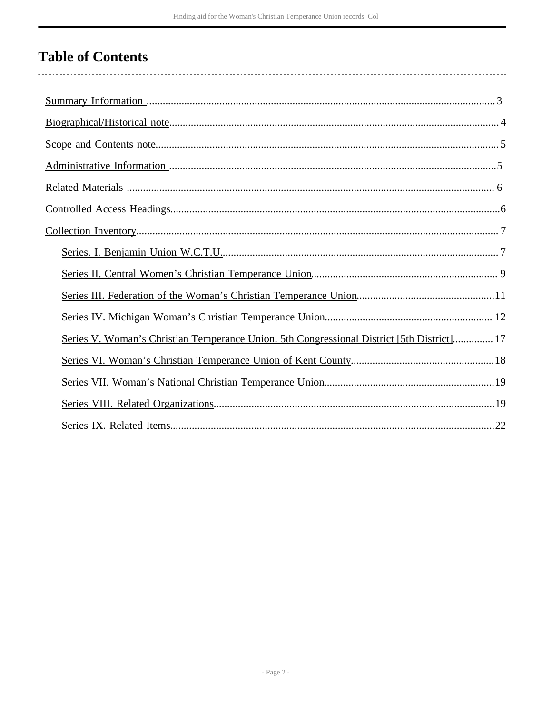# **Table of Contents**

| Series V. Woman's Christian Temperance Union. 5th Congressional District [5th District] 17 |
|--------------------------------------------------------------------------------------------|
|                                                                                            |
|                                                                                            |
|                                                                                            |
|                                                                                            |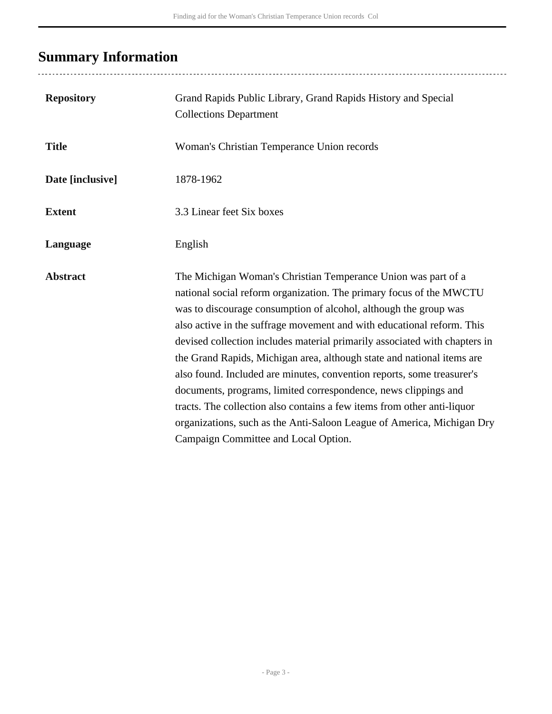# <span id="page-2-0"></span>**Summary Information**

| <b>Repository</b> | Grand Rapids Public Library, Grand Rapids History and Special<br><b>Collections Department</b>                                                                                                                                                                                                                                                                                                                                                                                                                                                                                                                                                                                                                                                                                       |
|-------------------|--------------------------------------------------------------------------------------------------------------------------------------------------------------------------------------------------------------------------------------------------------------------------------------------------------------------------------------------------------------------------------------------------------------------------------------------------------------------------------------------------------------------------------------------------------------------------------------------------------------------------------------------------------------------------------------------------------------------------------------------------------------------------------------|
| <b>Title</b>      | Woman's Christian Temperance Union records                                                                                                                                                                                                                                                                                                                                                                                                                                                                                                                                                                                                                                                                                                                                           |
| Date [inclusive]  | 1878-1962                                                                                                                                                                                                                                                                                                                                                                                                                                                                                                                                                                                                                                                                                                                                                                            |
| <b>Extent</b>     | 3.3 Linear feet Six boxes                                                                                                                                                                                                                                                                                                                                                                                                                                                                                                                                                                                                                                                                                                                                                            |
| Language          | English                                                                                                                                                                                                                                                                                                                                                                                                                                                                                                                                                                                                                                                                                                                                                                              |
| <b>Abstract</b>   | The Michigan Woman's Christian Temperance Union was part of a<br>national social reform organization. The primary focus of the MWCTU<br>was to discourage consumption of alcohol, although the group was<br>also active in the suffrage movement and with educational reform. This<br>devised collection includes material primarily associated with chapters in<br>the Grand Rapids, Michigan area, although state and national items are<br>also found. Included are minutes, convention reports, some treasurer's<br>documents, programs, limited correspondence, news clippings and<br>tracts. The collection also contains a few items from other anti-liquor<br>organizations, such as the Anti-Saloon League of America, Michigan Dry<br>Campaign Committee and Local Option. |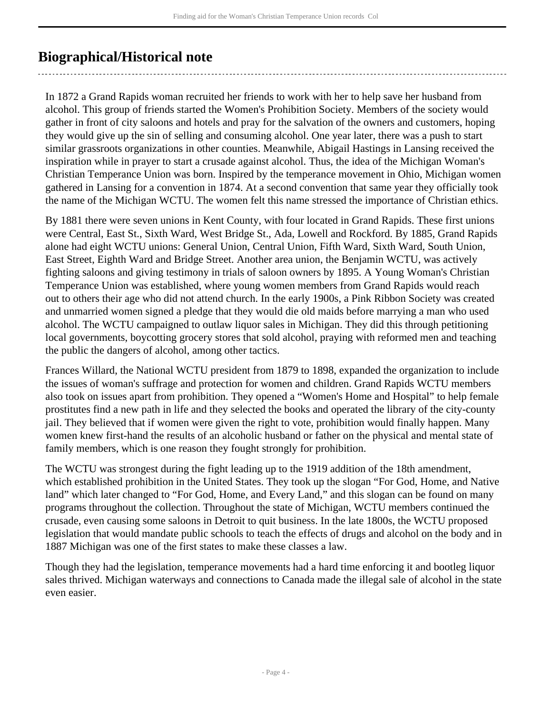## <span id="page-3-0"></span>**Biographical/Historical note**

In 1872 a Grand Rapids woman recruited her friends to work with her to help save her husband from alcohol. This group of friends started the Women's Prohibition Society. Members of the society would gather in front of city saloons and hotels and pray for the salvation of the owners and customers, hoping they would give up the sin of selling and consuming alcohol. One year later, there was a push to start similar grassroots organizations in other counties. Meanwhile, Abigail Hastings in Lansing received the inspiration while in prayer to start a crusade against alcohol. Thus, the idea of the Michigan Woman's Christian Temperance Union was born. Inspired by the temperance movement in Ohio, Michigan women gathered in Lansing for a convention in 1874. At a second convention that same year they officially took the name of the Michigan WCTU. The women felt this name stressed the importance of Christian ethics.

By 1881 there were seven unions in Kent County, with four located in Grand Rapids. These first unions were Central, East St., Sixth Ward, West Bridge St., Ada, Lowell and Rockford. By 1885, Grand Rapids alone had eight WCTU unions: General Union, Central Union, Fifth Ward, Sixth Ward, South Union, East Street, Eighth Ward and Bridge Street. Another area union, the Benjamin WCTU, was actively fighting saloons and giving testimony in trials of saloon owners by 1895. A Young Woman's Christian Temperance Union was established, where young women members from Grand Rapids would reach out to others their age who did not attend church. In the early 1900s, a Pink Ribbon Society was created and unmarried women signed a pledge that they would die old maids before marrying a man who used alcohol. The WCTU campaigned to outlaw liquor sales in Michigan. They did this through petitioning local governments, boycotting grocery stores that sold alcohol, praying with reformed men and teaching the public the dangers of alcohol, among other tactics.

Frances Willard, the National WCTU president from 1879 to 1898, expanded the organization to include the issues of woman's suffrage and protection for women and children. Grand Rapids WCTU members also took on issues apart from prohibition. They opened a "Women's Home and Hospital" to help female prostitutes find a new path in life and they selected the books and operated the library of the city-county jail. They believed that if women were given the right to vote, prohibition would finally happen. Many women knew first-hand the results of an alcoholic husband or father on the physical and mental state of family members, which is one reason they fought strongly for prohibition.

The WCTU was strongest during the fight leading up to the 1919 addition of the 18th amendment, which established prohibition in the United States. They took up the slogan "For God, Home, and Native land" which later changed to "For God, Home, and Every Land," and this slogan can be found on many programs throughout the collection. Throughout the state of Michigan, WCTU members continued the crusade, even causing some saloons in Detroit to quit business. In the late 1800s, the WCTU proposed legislation that would mandate public schools to teach the effects of drugs and alcohol on the body and in 1887 Michigan was one of the first states to make these classes a law.

Though they had the legislation, temperance movements had a hard time enforcing it and bootleg liquor sales thrived. Michigan waterways and connections to Canada made the illegal sale of alcohol in the state even easier.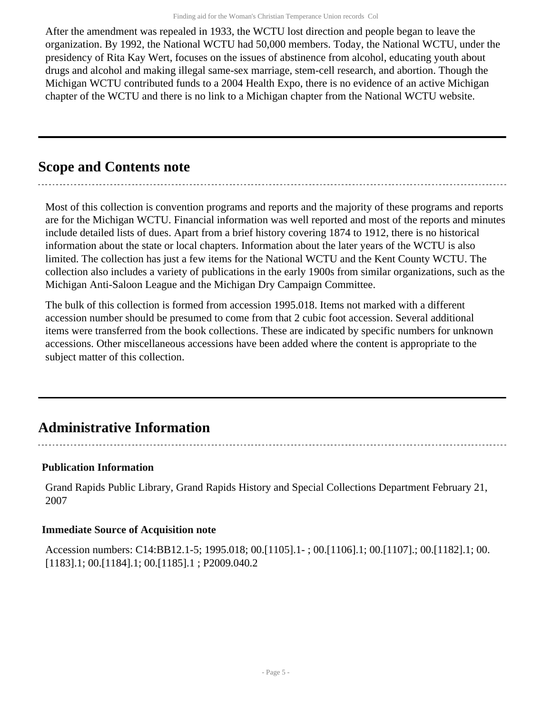After the amendment was repealed in 1933, the WCTU lost direction and people began to leave the organization. By 1992, the National WCTU had 50,000 members. Today, the National WCTU, under the presidency of Rita Kay Wert, focuses on the issues of abstinence from alcohol, educating youth about drugs and alcohol and making illegal same-sex marriage, stem-cell research, and abortion. Though the Michigan WCTU contributed funds to a 2004 Health Expo, there is no evidence of an active Michigan chapter of the WCTU and there is no link to a Michigan chapter from the National WCTU website.

## <span id="page-4-0"></span>**Scope and Contents note**

Most of this collection is convention programs and reports and the majority of these programs and reports are for the Michigan WCTU. Financial information was well reported and most of the reports and minutes include detailed lists of dues. Apart from a brief history covering 1874 to 1912, there is no historical information about the state or local chapters. Information about the later years of the WCTU is also limited. The collection has just a few items for the National WCTU and the Kent County WCTU. The collection also includes a variety of publications in the early 1900s from similar organizations, such as the Michigan Anti-Saloon League and the Michigan Dry Campaign Committee.

The bulk of this collection is formed from accession 1995.018. Items not marked with a different accession number should be presumed to come from that 2 cubic foot accession. Several additional items were transferred from the book collections. These are indicated by specific numbers for unknown accessions. Other miscellaneous accessions have been added where the content is appropriate to the subject matter of this collection.

## <span id="page-4-1"></span>**Administrative Information**

#### **Publication Information**

Grand Rapids Public Library, Grand Rapids History and Special Collections Department February 21, 2007

#### **Immediate Source of Acquisition note**

Accession numbers: C14:BB12.1-5; 1995.018; 00.[1105].1- ; 00.[1106].1; 00.[1107].; 00.[1182].1; 00. [1183].1; 00.[1184].1; 00.[1185].1 ; P2009.040.2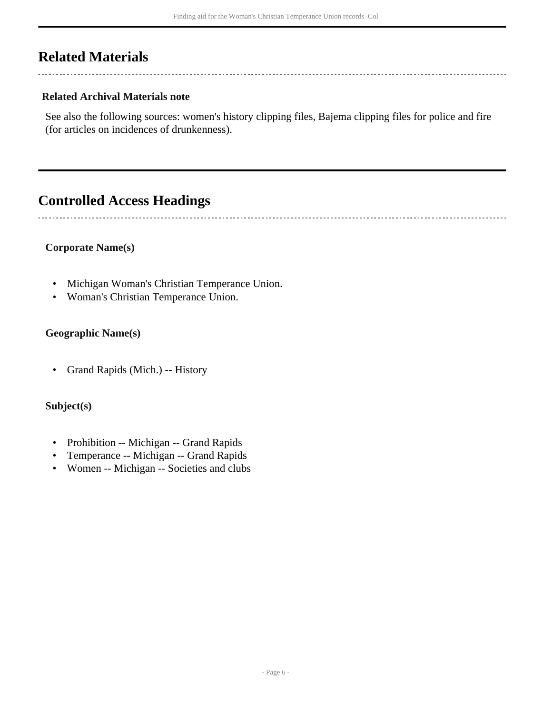## <span id="page-5-0"></span>**Related Materials**

#### **Related Archival Materials note**

See also the following sources: women's history clipping files, Bajema clipping files for police and fire (for articles on incidences of drunkenness).

## <span id="page-5-1"></span>**Controlled Access Headings**

**Corporate Name(s)**

- Michigan Woman's Christian Temperance Union.
- Woman's Christian Temperance Union.

#### **Geographic Name(s)**

• Grand Rapids (Mich.) -- History

#### **Subject(s)**

- Prohibition -- Michigan -- Grand Rapids
- Temperance -- Michigan -- Grand Rapids
- Women -- Michigan -- Societies and clubs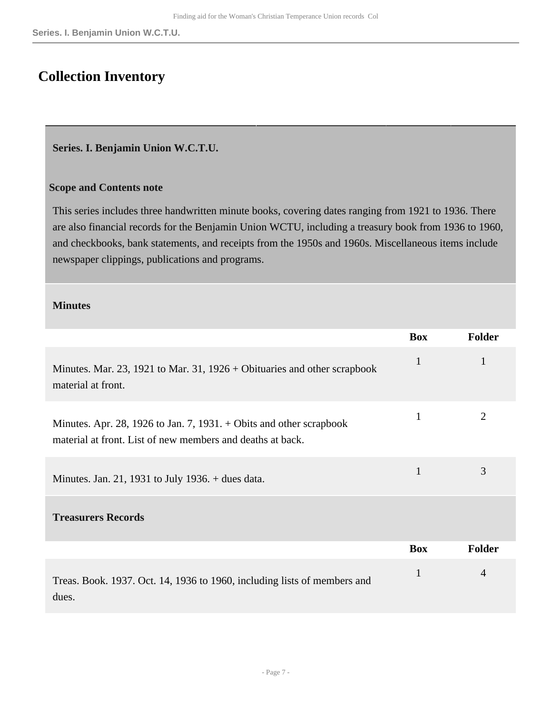## <span id="page-6-0"></span>**Collection Inventory**

#### <span id="page-6-1"></span>**Series. I. Benjamin Union W.C.T.U.**

#### **Scope and Contents note**

This series includes three handwritten minute books, covering dates ranging from 1921 to 1936. There are also financial records for the Benjamin Union WCTU, including a treasury book from 1936 to 1960, and checkbooks, bank statements, and receipts from the 1950s and 1960s. Miscellaneous items include newspaper clippings, publications and programs.

#### **Minutes**

|                                                                                                                                     | <b>Box</b>   | <b>Folder</b>  |
|-------------------------------------------------------------------------------------------------------------------------------------|--------------|----------------|
| Minutes. Mar. 23, 1921 to Mar. 31, $1926 +$ Obituaries and other scrapbook<br>material at front.                                    | $\mathbf{1}$ | 1              |
| Minutes. Apr. 28, 1926 to Jan. 7, 1931. $+$ Obits and other scrapbook<br>material at front. List of new members and deaths at back. | $\mathbf{1}$ | $\overline{2}$ |
| Minutes. Jan. 21, 1931 to July 1936. $+$ dues data.                                                                                 | 1            | 3              |
| <b>Treasurers Records</b>                                                                                                           |              |                |
|                                                                                                                                     | <b>Box</b>   | <b>Folder</b>  |
| Treas. Book. 1937. Oct. 14, 1936 to 1960, including lists of members and<br>dues.                                                   | $\mathbf{1}$ | $\overline{4}$ |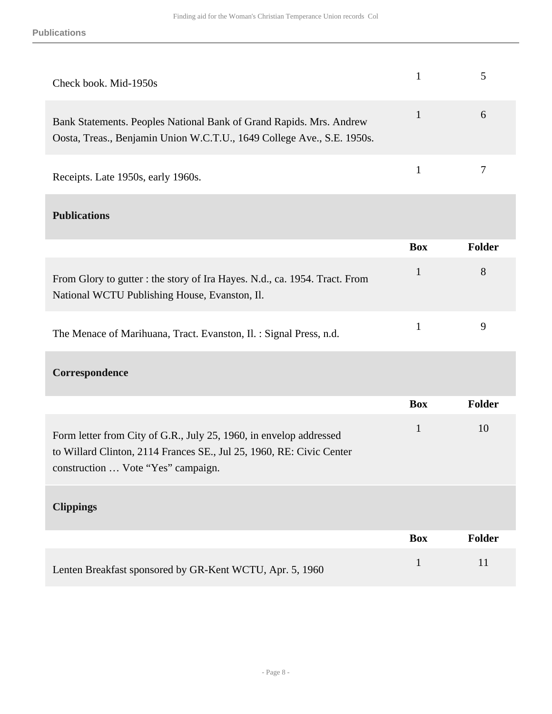| Check book. Mid-1950s                                                                                                                         |               |
|-----------------------------------------------------------------------------------------------------------------------------------------------|---------------|
| Bank Statements. Peoples National Bank of Grand Rapids. Mrs. Andrew<br>Oosta, Treas., Benjamin Union W.C.T.U., 1649 College Ave., S.E. 1950s. | $\mathfrak b$ |
| Receipts. Late 1950s, early 1960s.                                                                                                            |               |

### **Publications**

|                                                                                                                             | <b>Box</b> | Folder |
|-----------------------------------------------------------------------------------------------------------------------------|------------|--------|
| From Glory to gutter : the story of Ira Hayes. N.d., ca. 1954. Tract. From<br>National WCTU Publishing House, Evanston, Il. |            | 8      |
| The Menace of Marihuana, Tract. Evanston, Il. : Signal Press, n.d.                                                          |            |        |

#### **Correspondence**

|                                                                                                                                                                                  | <b>Box</b> | <b>Folder</b> |
|----------------------------------------------------------------------------------------------------------------------------------------------------------------------------------|------------|---------------|
| Form letter from City of G.R., July 25, 1960, in envelop addressed<br>to Willard Clinton, 2114 Frances SE., Jul 25, 1960, RE: Civic Center<br>construction  Vote "Yes" campaign. | 1          | 10            |
| <b>Clippings</b>                                                                                                                                                                 |            |               |
|                                                                                                                                                                                  | <b>Box</b> | <b>Folder</b> |
| Lenten Breakfast sponsored by GR-Kent WCTU, Apr. 5, 1960                                                                                                                         |            | 11            |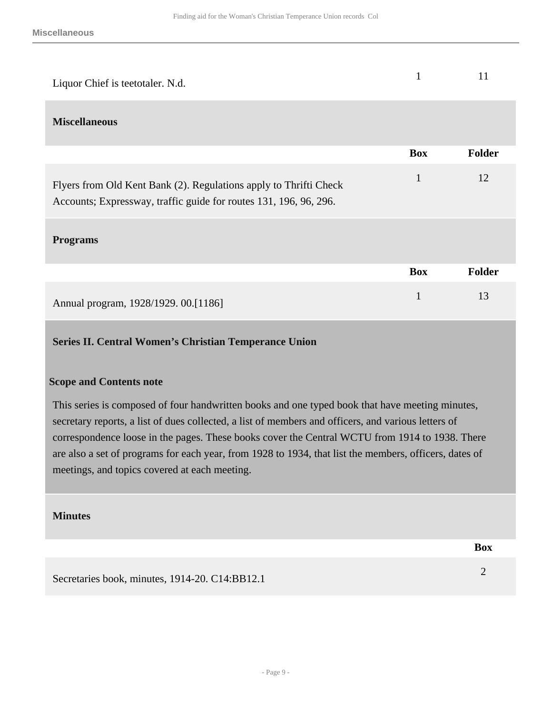| Liquor Chief is teetotaler. N.d.                                                                                                       |              | 11            |
|----------------------------------------------------------------------------------------------------------------------------------------|--------------|---------------|
| <b>Miscellaneous</b>                                                                                                                   |              |               |
|                                                                                                                                        | <b>Box</b>   | <b>Folder</b> |
| Flyers from Old Kent Bank (2). Regulations apply to Thrifti Check<br>Accounts; Expressway, traffic guide for routes 131, 196, 96, 296. | $\mathbf{1}$ | 12            |
| <b>Programs</b>                                                                                                                        |              |               |
|                                                                                                                                        | <b>Box</b>   | <b>Folder</b> |
| Annual program, 1928/1929. 00.[1186]                                                                                                   |              | 13            |

#### <span id="page-8-0"></span>**Series II. Central Women's Christian Temperance Union**

#### **Scope and Contents note**

This series is composed of four handwritten books and one typed book that have meeting minutes, secretary reports, a list of dues collected, a list of members and officers, and various letters of correspondence loose in the pages. These books cover the Central WCTU from 1914 to 1938. There are also a set of programs for each year, from 1928 to 1934, that list the members, officers, dates of meetings, and topics covered at each meeting.

#### **Minutes**

Secretaries book, minutes, 1914-20. C14:BB12.1 2

**Box**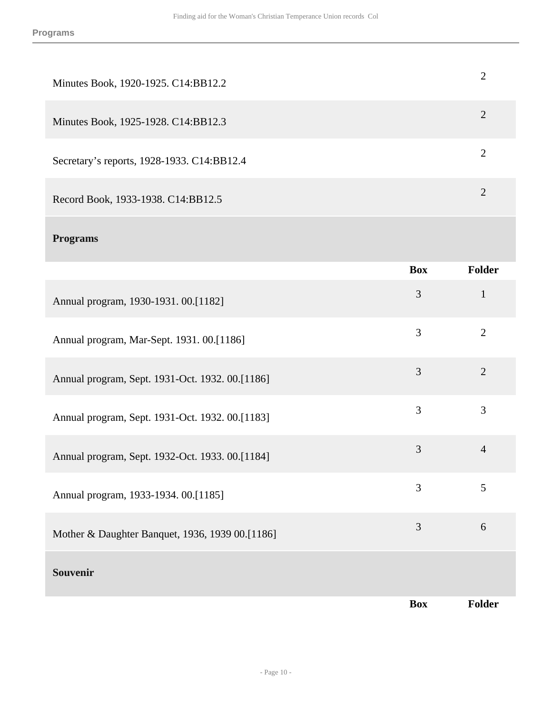| Minutes Book, 1920-1925. C14:BB12.2        |   |
|--------------------------------------------|---|
| Minutes Book, 1925-1928. C14:BB12.3        | 2 |
| Secretary's reports, 1928-1933. C14:BB12.4 |   |
| Record Book, 1933-1938. C14:BB12.5         | റ |

#### **Programs**

|                                                 | <b>Box</b> | <b>Folder</b>  |
|-------------------------------------------------|------------|----------------|
| Annual program, 1930-1931. 00.[1182]            | 3          | $\mathbf{1}$   |
| Annual program, Mar-Sept. 1931. 00.[1186]       | 3          | $\overline{2}$ |
| Annual program, Sept. 1931-Oct. 1932. 00.[1186] | 3          | $\overline{2}$ |
| Annual program, Sept. 1931-Oct. 1932. 00.[1183] | 3          | 3              |
| Annual program, Sept. 1932-Oct. 1933. 00.[1184] | 3          | $\overline{4}$ |
| Annual program, 1933-1934. 00.[1185]            | 3          | 5              |
| Mother & Daughter Banquet, 1936, 1939 00.[1186] | 3          | 6              |
| <b>Souvenir</b>                                 |            |                |
|                                                 | <b>Box</b> | Folder         |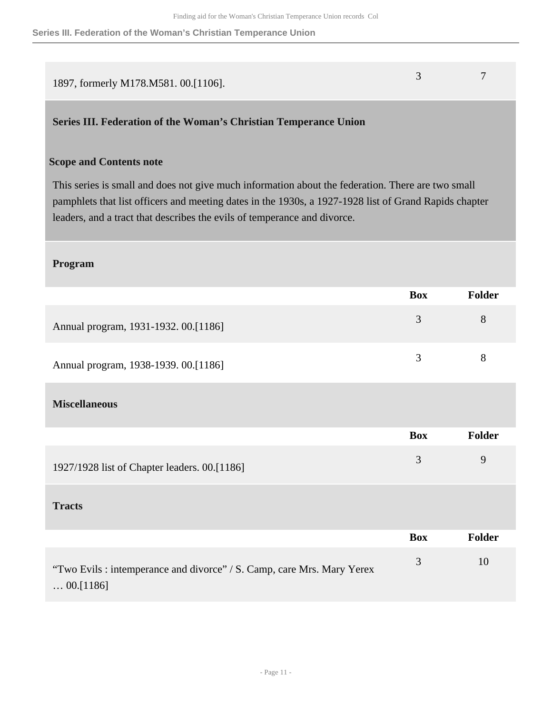#### **Series III. Federation of the Woman's Christian Temperance Union**

<span id="page-10-0"></span>

| 1897, formerly M178.M581. 00.[1106].                                                                                                                                                                                                                                                   | 3              | 7             |
|----------------------------------------------------------------------------------------------------------------------------------------------------------------------------------------------------------------------------------------------------------------------------------------|----------------|---------------|
| Series III. Federation of the Woman's Christian Temperance Union                                                                                                                                                                                                                       |                |               |
| <b>Scope and Contents note</b>                                                                                                                                                                                                                                                         |                |               |
| This series is small and does not give much information about the federation. There are two small<br>pamphlets that list officers and meeting dates in the 1930s, a 1927-1928 list of Grand Rapids chapter<br>leaders, and a tract that describes the evils of temperance and divorce. |                |               |
| Program                                                                                                                                                                                                                                                                                |                |               |
|                                                                                                                                                                                                                                                                                        | <b>Box</b>     | Folder        |
| Annual program, 1931-1932. 00.[1186]                                                                                                                                                                                                                                                   | 3              | 8             |
| Annual program, 1938-1939. 00.[1186]                                                                                                                                                                                                                                                   | 3              | 8             |
| <b>Miscellaneous</b>                                                                                                                                                                                                                                                                   |                |               |
|                                                                                                                                                                                                                                                                                        | <b>Box</b>     | <b>Folder</b> |
| 1927/1928 list of Chapter leaders. 00.[1186]                                                                                                                                                                                                                                           | $\mathfrak{Z}$ | 9             |
| <b>Tracts</b>                                                                                                                                                                                                                                                                          |                |               |
|                                                                                                                                                                                                                                                                                        | <b>Box</b>     | Folder        |
| "Two Evils : intemperance and divorce" / S. Camp, care Mrs. Mary Yerex<br>$\ldots 00.$ [1186]                                                                                                                                                                                          | $\mathfrak{Z}$ | 10            |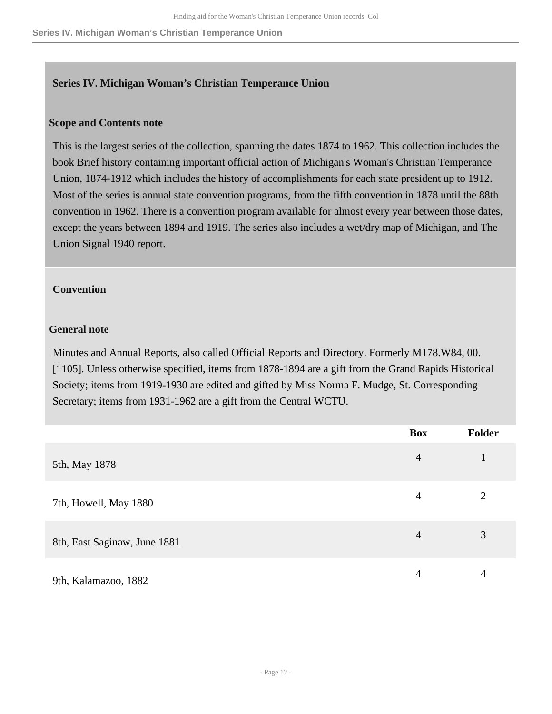#### <span id="page-11-0"></span>**Series IV. Michigan Woman's Christian Temperance Union**

#### **Scope and Contents note**

This is the largest series of the collection, spanning the dates 1874 to 1962. This collection includes the book Brief history containing important official action of Michigan's Woman's Christian Temperance Union, 1874-1912 which includes the history of accomplishments for each state president up to 1912. Most of the series is annual state convention programs, from the fifth convention in 1878 until the 88th convention in 1962. There is a convention program available for almost every year between those dates, except the years between 1894 and 1919. The series also includes a wet/dry map of Michigan, and The Union Signal 1940 report.

#### **Convention**

#### **General note**

Minutes and Annual Reports, also called Official Reports and Directory. Formerly M178.W84, 00. [1105]. Unless otherwise specified, items from 1878-1894 are a gift from the Grand Rapids Historical Society; items from 1919-1930 are edited and gifted by Miss Norma F. Mudge, St. Corresponding Secretary; items from 1931-1962 are a gift from the Central WCTU.

|                              | <b>Box</b>     | <b>Folder</b> |
|------------------------------|----------------|---------------|
| 5th, May 1878                | $\overline{4}$ |               |
| 7th, Howell, May 1880        | 4              | ↑             |
| 8th, East Saginaw, June 1881 | $\overline{4}$ | 3             |
| 9th, Kalamazoo, 1882         | 4              | 4             |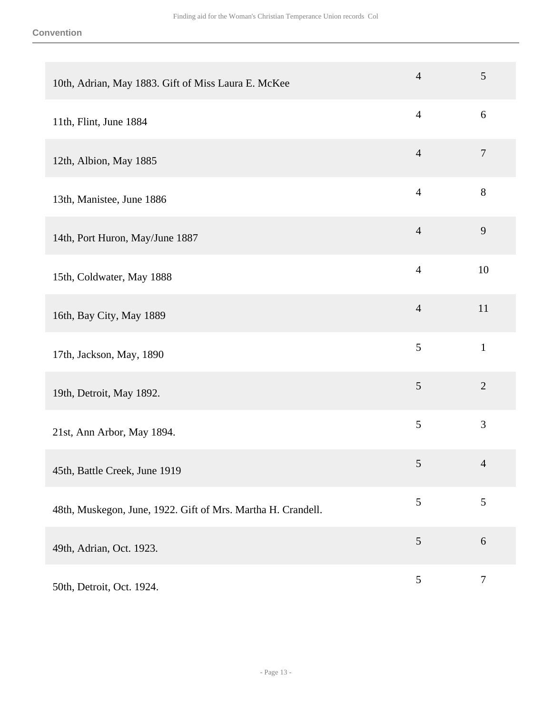| 10th, Adrian, May 1883. Gift of Miss Laura E. McKee          | $\overline{4}$ | $\sqrt{5}$       |
|--------------------------------------------------------------|----------------|------------------|
| 11th, Flint, June 1884                                       | $\overline{4}$ | 6                |
| 12th, Albion, May 1885                                       | $\overline{4}$ | $\overline{7}$   |
| 13th, Manistee, June 1886                                    | $\overline{4}$ | 8                |
| 14th, Port Huron, May/June 1887                              | $\overline{4}$ | 9                |
| 15th, Coldwater, May 1888                                    | $\overline{4}$ | 10               |
| 16th, Bay City, May 1889                                     | $\overline{4}$ | 11               |
| 17th, Jackson, May, 1890                                     | 5              | $\mathbf{1}$     |
| 19th, Detroit, May 1892.                                     | $\mathfrak{S}$ | $\overline{2}$   |
| 21st, Ann Arbor, May 1894.                                   | 5              | 3                |
| 45th, Battle Creek, June 1919                                | $\sqrt{5}$     | $\overline{4}$   |
| 48th, Muskegon, June, 1922. Gift of Mrs. Martha H. Crandell. | 5              | $\mathfrak{S}$   |
| 49th, Adrian, Oct. 1923.                                     | $\mathfrak{S}$ | $6\,$            |
| 50th, Detroit, Oct. 1924.                                    | $\mathfrak{S}$ | $\boldsymbol{7}$ |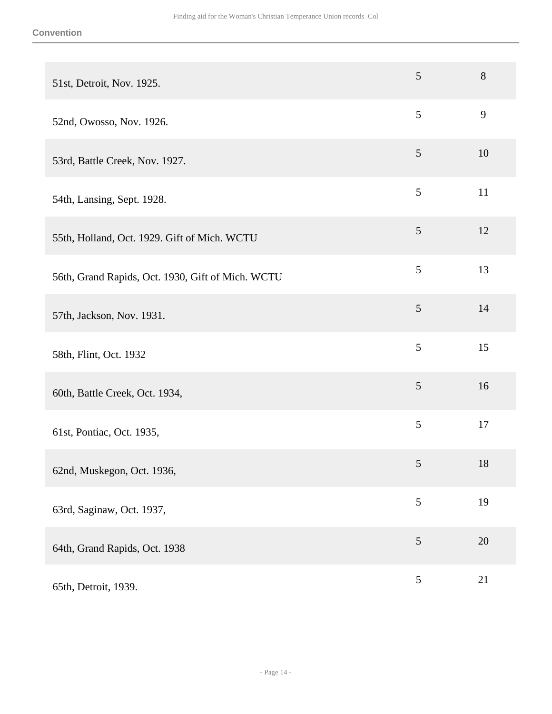| 51st, Detroit, Nov. 1925.                         | 5              | 8  |
|---------------------------------------------------|----------------|----|
| 52nd, Owosso, Nov. 1926.                          | 5              | 9  |
| 53rd, Battle Creek, Nov. 1927.                    | 5              | 10 |
| 54th, Lansing, Sept. 1928.                        | 5              | 11 |
| 55th, Holland, Oct. 1929. Gift of Mich. WCTU      | $\sqrt{5}$     | 12 |
| 56th, Grand Rapids, Oct. 1930, Gift of Mich. WCTU | 5              | 13 |
| 57th, Jackson, Nov. 1931.                         | $\mathfrak{S}$ | 14 |
| 58th, Flint, Oct. 1932                            | 5              | 15 |
| 60th, Battle Creek, Oct. 1934,                    | 5              | 16 |
| 61st, Pontiac, Oct. 1935,                         | $\mathfrak{S}$ | 17 |
| 62nd, Muskegon, Oct. 1936,                        | 5              | 18 |
| 63rd, Saginaw, Oct. 1937,                         | 5              | 19 |
| 64th, Grand Rapids, Oct. 1938                     | 5              | 20 |
| 65th, Detroit, 1939.                              | $\mathfrak{S}$ | 21 |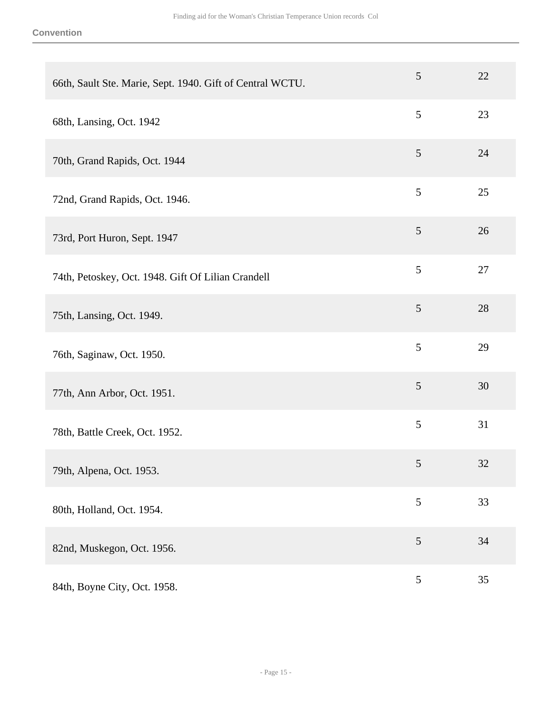| 66th, Sault Ste. Marie, Sept. 1940. Gift of Central WCTU. | 5              | 22 |
|-----------------------------------------------------------|----------------|----|
| 68th, Lansing, Oct. 1942                                  | 5              | 23 |
| 70th, Grand Rapids, Oct. 1944                             | $\mathfrak{S}$ | 24 |
| 72nd, Grand Rapids, Oct. 1946.                            | 5              | 25 |
| 73rd, Port Huron, Sept. 1947                              | 5              | 26 |
| 74th, Petoskey, Oct. 1948. Gift Of Lilian Crandell        | $\mathfrak{S}$ | 27 |
| 75th, Lansing, Oct. 1949.                                 | $\mathfrak{S}$ | 28 |
| 76th, Saginaw, Oct. 1950.                                 | 5              | 29 |
| 77th, Ann Arbor, Oct. 1951.                               | $\mathfrak{S}$ | 30 |
| 78th, Battle Creek, Oct. 1952.                            | 5              | 31 |
| 79th, Alpena, Oct. 1953.                                  | 5              | 32 |
| 80th, Holland, Oct. 1954.                                 | 5              | 33 |
| 82nd, Muskegon, Oct. 1956.                                | $\overline{5}$ | 34 |
| 84th, Boyne City, Oct. 1958.                              | $\mathfrak{S}$ | 35 |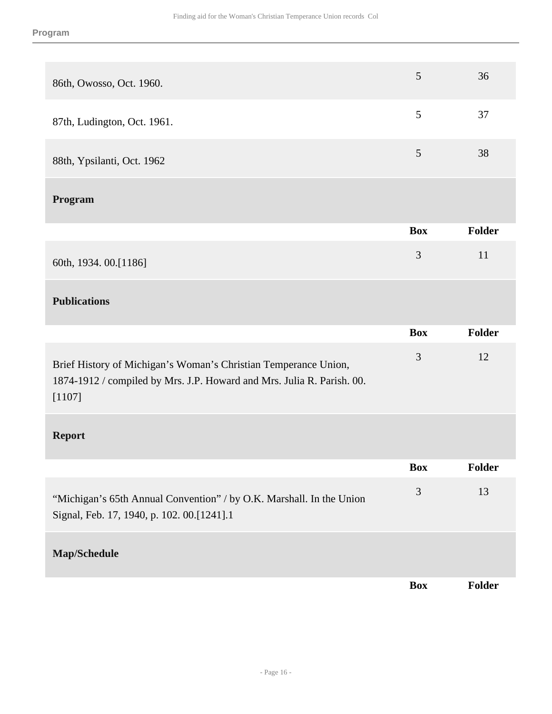| 86th, Owosso, Oct. 1960.                                                                                                                            | 5              | 36            |
|-----------------------------------------------------------------------------------------------------------------------------------------------------|----------------|---------------|
| 87th, Ludington, Oct. 1961.                                                                                                                         | 5              | 37            |
| 88th, Ypsilanti, Oct. 1962                                                                                                                          | $\overline{5}$ | 38            |
| Program                                                                                                                                             |                |               |
|                                                                                                                                                     | <b>Box</b>     | Folder        |
| 60th, 1934. 00.[1186]                                                                                                                               | 3              | 11            |
| <b>Publications</b>                                                                                                                                 |                |               |
|                                                                                                                                                     | <b>Box</b>     | Folder        |
| Brief History of Michigan's Woman's Christian Temperance Union,<br>1874-1912 / compiled by Mrs. J.P. Howard and Mrs. Julia R. Parish. 00.<br>[1107] | 3              | 12            |
| <b>Report</b>                                                                                                                                       |                |               |
|                                                                                                                                                     | <b>Box</b>     | <b>Folder</b> |
| "Michigan's 65th Annual Convention" / by O.K. Marshall. In the Union<br>Signal, Feb. 17, 1940, p. 102. 00.[1241].1                                  | $\mathfrak{Z}$ | 13            |
| Map/Schedule                                                                                                                                        |                |               |
|                                                                                                                                                     | <b>Box</b>     | Folder        |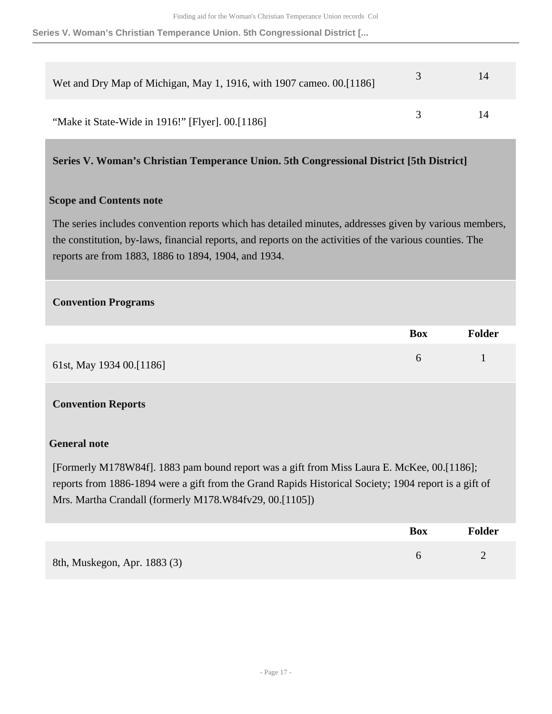#### **Series V. Woman's Christian Temperance Union. 5th Congressional District [...**

| Wet and Dry Map of Michigan, May 1, 1916, with 1907 cameo. 00.[1186] |               | 14 |
|----------------------------------------------------------------------|---------------|----|
| "Make it State-Wide in 1916!" [Flyer]. 00.[1186]                     | $\mathcal{L}$ | 14 |

#### <span id="page-16-0"></span>**Series V. Woman's Christian Temperance Union. 5th Congressional District [5th District]**

#### **Scope and Contents note**

The series includes convention reports which has detailed minutes, addresses given by various members, the constitution, by-laws, financial reports, and reports on the activities of the various counties. The reports are from 1883, 1886 to 1894, 1904, and 1934.

#### **Convention Programs**

| <b>Box</b>                           | <b>Folder</b> |
|--------------------------------------|---------------|
| $\sigma$<br>61st, May 1934 00.[1186] |               |

#### **Convention Reports**

#### **General note**

[Formerly M178W84f]. 1883 pam bound report was a gift from Miss Laura E. McKee, 00.[1186]; reports from 1886-1894 were a gift from the Grand Rapids Historical Society; 1904 report is a gift of Mrs. Martha Crandall (formerly M178.W84fv29, 00.[1105])

|                              | <b>Box</b> | <b>Folder</b> |
|------------------------------|------------|---------------|
| 8th, Muskegon, Apr. 1883 (3) |            |               |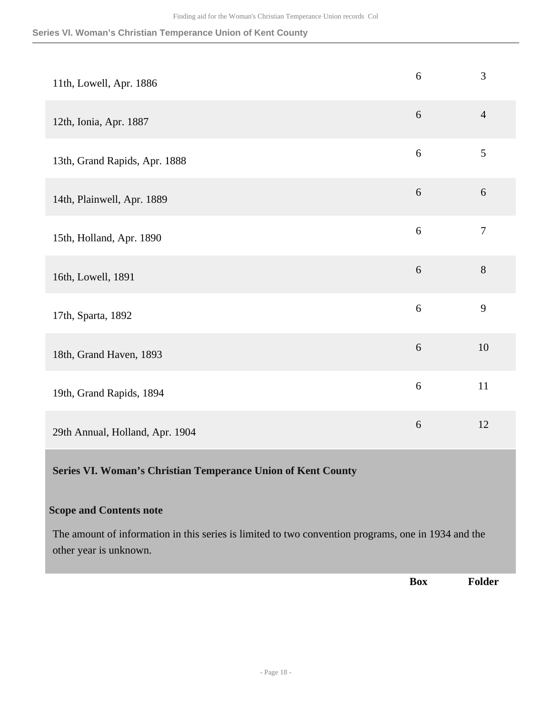#### **Series VI. Woman's Christian Temperance Union of Kent County**

<span id="page-17-0"></span>

|                                                                                                                                                                 | <b>Box</b> | Folder         |
|-----------------------------------------------------------------------------------------------------------------------------------------------------------------|------------|----------------|
| <b>Scope and Contents note</b><br>The amount of information in this series is limited to two convention programs, one in 1934 and the<br>other year is unknown. |            |                |
| Series VI. Woman's Christian Temperance Union of Kent County                                                                                                    |            |                |
| 29th Annual, Holland, Apr. 1904                                                                                                                                 | 6          | 12             |
| 19th, Grand Rapids, 1894                                                                                                                                        | $\sqrt{6}$ | 11             |
| 18th, Grand Haven, 1893                                                                                                                                         | $6\,$      | 10             |
| 17th, Sparta, 1892                                                                                                                                              | 6          | 9              |
| 16th, Lowell, 1891                                                                                                                                              | $6\,$      | 8              |
| 15th, Holland, Apr. 1890                                                                                                                                        | 6          | $\tau$         |
| 14th, Plainwell, Apr. 1889                                                                                                                                      | $6\,$      | 6              |
| 13th, Grand Rapids, Apr. 1888                                                                                                                                   | 6          | 5              |
| 12th, Ionia, Apr. 1887                                                                                                                                          | $6\,$      | $\overline{4}$ |
| 11th, Lowell, Apr. 1886                                                                                                                                         | 6          | 3              |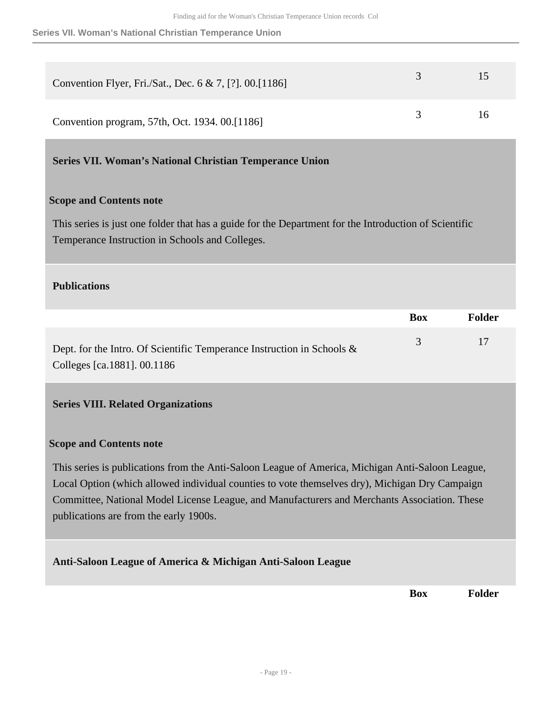| Convention Flyer, Fri./Sat., Dec. 6 & 7, [?]. 00.[1186] | 3   | 15 |
|---------------------------------------------------------|-----|----|
| Convention program, 57th, Oct. 1934. 00.[1186]          | -3. | 16 |

<span id="page-18-0"></span>**Series VII. Woman's National Christian Temperance Union** 

#### **Scope and Contents note**

This series is just one folder that has a guide for the Department for the Introduction of Scientific Temperance Instruction in Schools and Colleges.

#### **Publications**

|                                                                           | <b>Box</b>    | Folder |
|---------------------------------------------------------------------------|---------------|--------|
| Dept. for the Intro. Of Scientific Temperance Instruction in Schools $\&$ | $\mathcal{R}$ | 17     |
| Colleges [ca.1881]. 00.1186                                               |               |        |

#### <span id="page-18-1"></span>**Series VIII. Related Organizations**

#### **Scope and Contents note**

This series is publications from the Anti-Saloon League of America, Michigan Anti-Saloon League, Local Option (which allowed individual counties to vote themselves dry), Michigan Dry Campaign Committee, National Model License League, and Manufacturers and Merchants Association. These publications are from the early 1900s.

#### **Anti-Saloon League of America & Michigan Anti-Saloon League**

**Box Folder**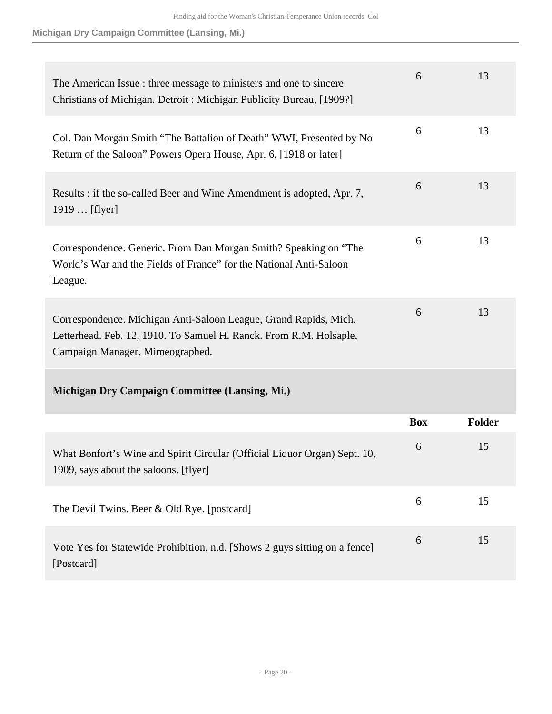**Michigan Dry Campaign Committee (Lansing, Mi.)**

| The American Issue: three message to ministers and one to sincere<br>Christians of Michigan. Detroit: Michigan Publicity Bureau, [1909?]                                  | 6          | 13     |
|---------------------------------------------------------------------------------------------------------------------------------------------------------------------------|------------|--------|
| Col. Dan Morgan Smith "The Battalion of Death" WWI, Presented by No<br>Return of the Saloon" Powers Opera House, Apr. 6, [1918 or later]                                  | 6          | 13     |
| Results : if the so-called Beer and Wine Amendment is adopted, Apr. 7,<br>1919  [flyer]                                                                                   | 6          | 13     |
| Correspondence. Generic. From Dan Morgan Smith? Speaking on "The<br>World's War and the Fields of France" for the National Anti-Saloon<br>League.                         | 6          | 13     |
| Correspondence. Michigan Anti-Saloon League, Grand Rapids, Mich.<br>Letterhead. Feb. 12, 1910. To Samuel H. Ranck. From R.M. Holsaple,<br>Campaign Manager. Mimeographed. | 6          | 13     |
| Michigan Dry Campaign Committee (Lansing, Mi.)                                                                                                                            |            |        |
|                                                                                                                                                                           | <b>Box</b> | Folder |
| What Bonfort's Wine and Spirit Circular (Official Liquor Organ) Sept. 10,<br>1909, says about the saloons. [flyer]                                                        | 6          | 15     |
| The Devil Twins. Beer & Old Rye. [postcard]                                                                                                                               | 6          | 15     |
| Vote Yes for Statewide Prohibition, n.d. [Shows 2 guys sitting on a fence]<br>[Postcard]                                                                                  | 6          | 15     |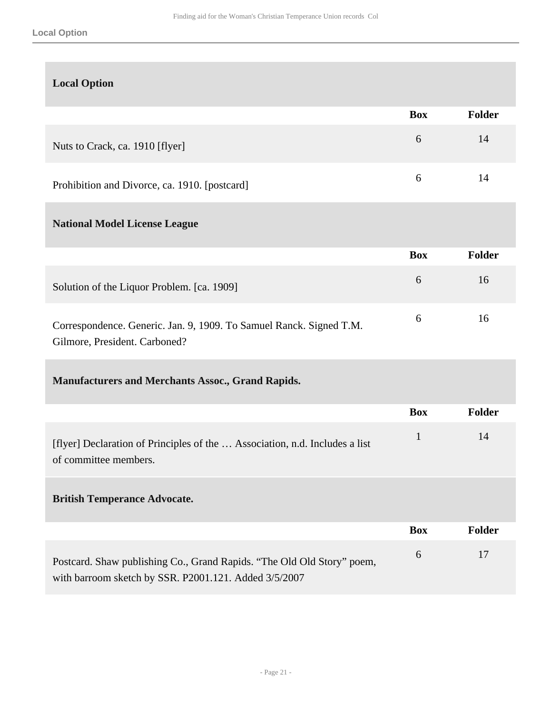| <b>Local Option</b>                                                                                                             |              |               |
|---------------------------------------------------------------------------------------------------------------------------------|--------------|---------------|
|                                                                                                                                 | <b>Box</b>   | Folder        |
| Nuts to Crack, ca. 1910 [flyer]                                                                                                 | 6            | 14            |
| Prohibition and Divorce, ca. 1910. [postcard]                                                                                   | 6            | 14            |
| <b>National Model License League</b>                                                                                            |              |               |
|                                                                                                                                 | <b>Box</b>   | Folder        |
| Solution of the Liquor Problem. [ca. 1909]                                                                                      | 6            | 16            |
| Correspondence. Generic. Jan. 9, 1909. To Samuel Ranck. Signed T.M.<br>Gilmore, President. Carboned?                            | 6            | 16            |
| <b>Manufacturers and Merchants Assoc., Grand Rapids.</b>                                                                        |              |               |
|                                                                                                                                 | <b>Box</b>   | <b>Folder</b> |
| [flyer] Declaration of Principles of the  Association, n.d. Includes a list<br>of committee members.                            | $\mathbf{1}$ | 14            |
| <b>British Temperance Advocate.</b>                                                                                             |              |               |
|                                                                                                                                 | <b>Box</b>   | <b>Folder</b> |
| Postcard. Shaw publishing Co., Grand Rapids. "The Old Old Story" poem,<br>with barroom sketch by SSR. P2001.121. Added 3/5/2007 | 6            | 17            |